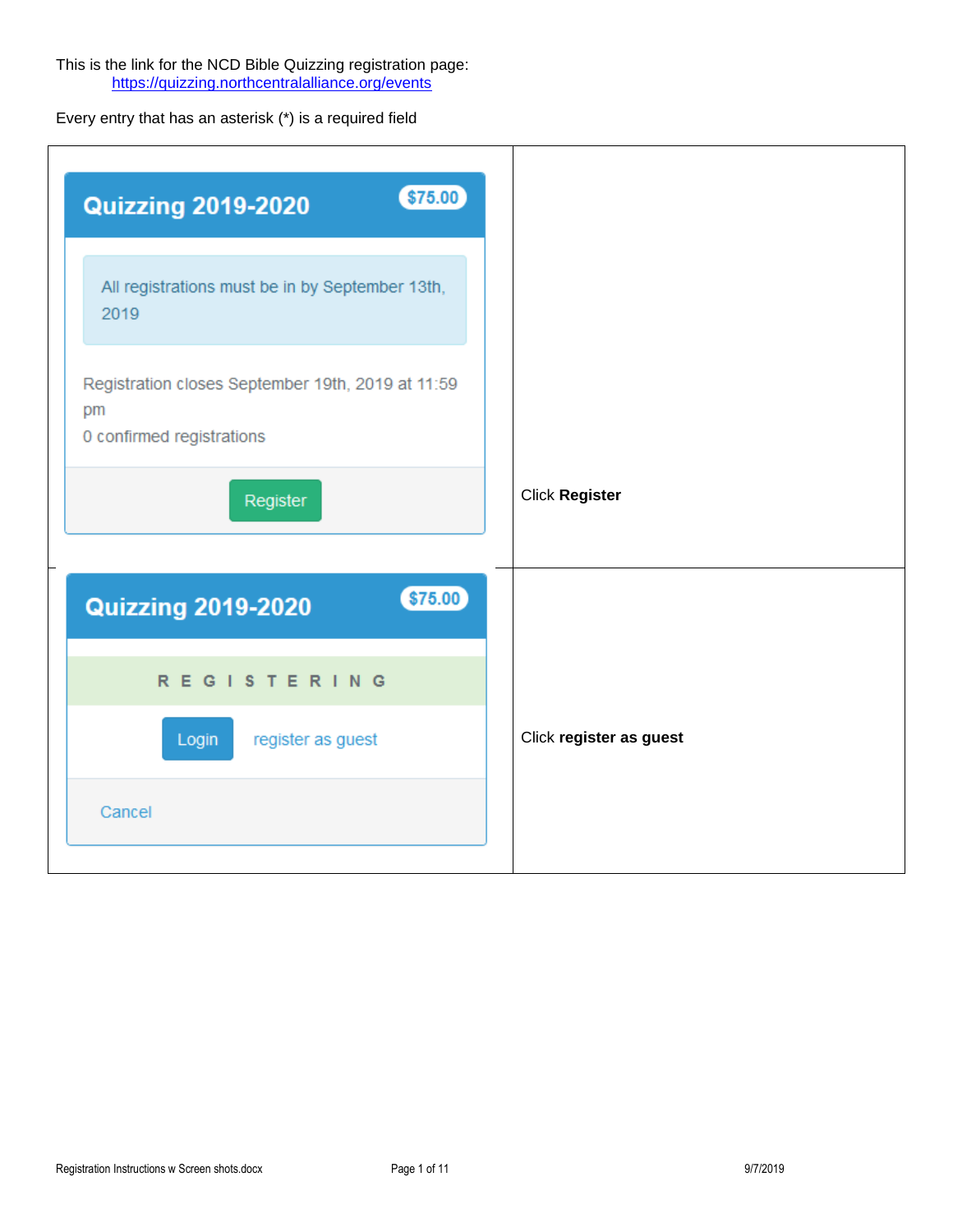This is the link for the NCD Bible Quizzing registration page: <https://quizzing.northcentralalliance.org/events>

Every entry that has an asterisk (\*) is a required field

| \$75.00<br><b>Quizzing 2019-2020</b>                                                 |                         |
|--------------------------------------------------------------------------------------|-------------------------|
| All registrations must be in by September 13th,<br>2019                              |                         |
| Registration closes September 19th, 2019 at 11:59<br>pm<br>0 confirmed registrations |                         |
| Register                                                                             | <b>Click Register</b>   |
| \$75.00<br><b>Quizzing 2019-2020</b>                                                 |                         |
| <b>REGISTERING</b>                                                                   |                         |
| Login<br>register as guest                                                           | Click register as guest |
| Cancel                                                                               |                         |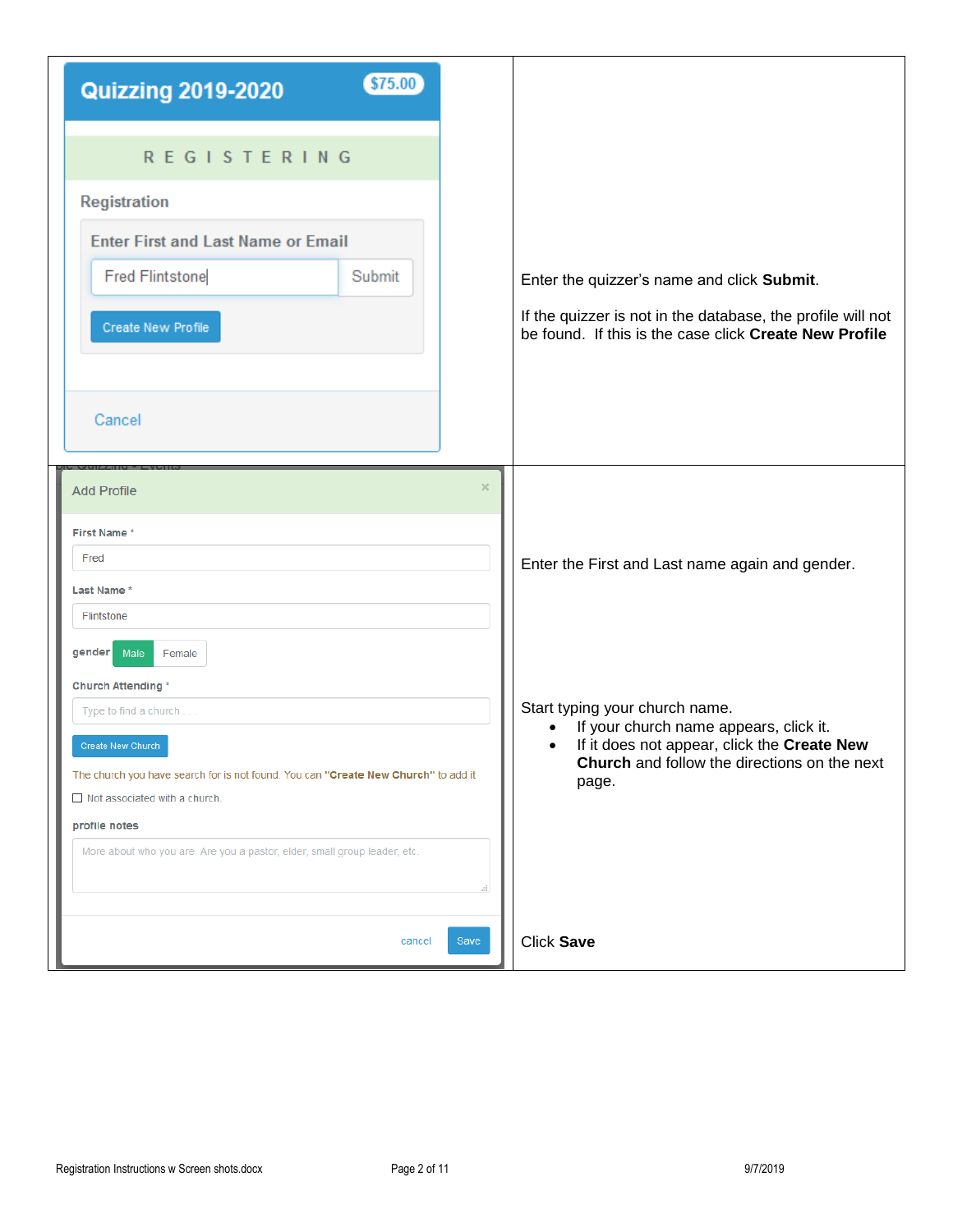| \$75.00<br><b>Quizzing 2019-2020</b>                                               |          |                                                                                                    |
|------------------------------------------------------------------------------------|----------|----------------------------------------------------------------------------------------------------|
| <b>REGISTERING</b>                                                                 |          |                                                                                                    |
| <b>Registration</b>                                                                |          |                                                                                                    |
| <b>Enter First and Last Name or Email</b>                                          |          |                                                                                                    |
| <b>Fred Flintstone</b><br>Submit                                                   |          | Enter the quizzer's name and click Submit.                                                         |
|                                                                                    |          | If the quizzer is not in the database, the profile will not                                        |
| Create New Profile                                                                 |          | be found. If this is the case click Create New Profile                                             |
|                                                                                    |          |                                                                                                    |
| Cancel                                                                             |          |                                                                                                    |
|                                                                                    |          |                                                                                                    |
| <b>Add Profile</b>                                                                 | $\times$ |                                                                                                    |
| First Name*                                                                        |          |                                                                                                    |
| Fred                                                                               |          | Enter the First and Last name again and gender.                                                    |
| Last Name *<br>Flintstone                                                          |          |                                                                                                    |
| gender<br>Male<br>Female                                                           |          |                                                                                                    |
| <b>Church Attending *</b>                                                          |          |                                                                                                    |
| Type to find a church                                                              |          | Start typing your church name.<br>If your church name appears, click it.                           |
| Create New Church                                                                  |          | If it does not appear, click the Create New<br><b>Church</b> and follow the directions on the next |
| The church you have search for is not found. You can "Create New Church" to add it |          | page.                                                                                              |
| $\Box$ Not associated with a church.<br>profile notes                              |          |                                                                                                    |
| More about who you are. Are you a pastor, elder, small group leader, etc.          |          |                                                                                                    |
|                                                                                    |          |                                                                                                    |
| cancel                                                                             | Save     | <b>Click Save</b>                                                                                  |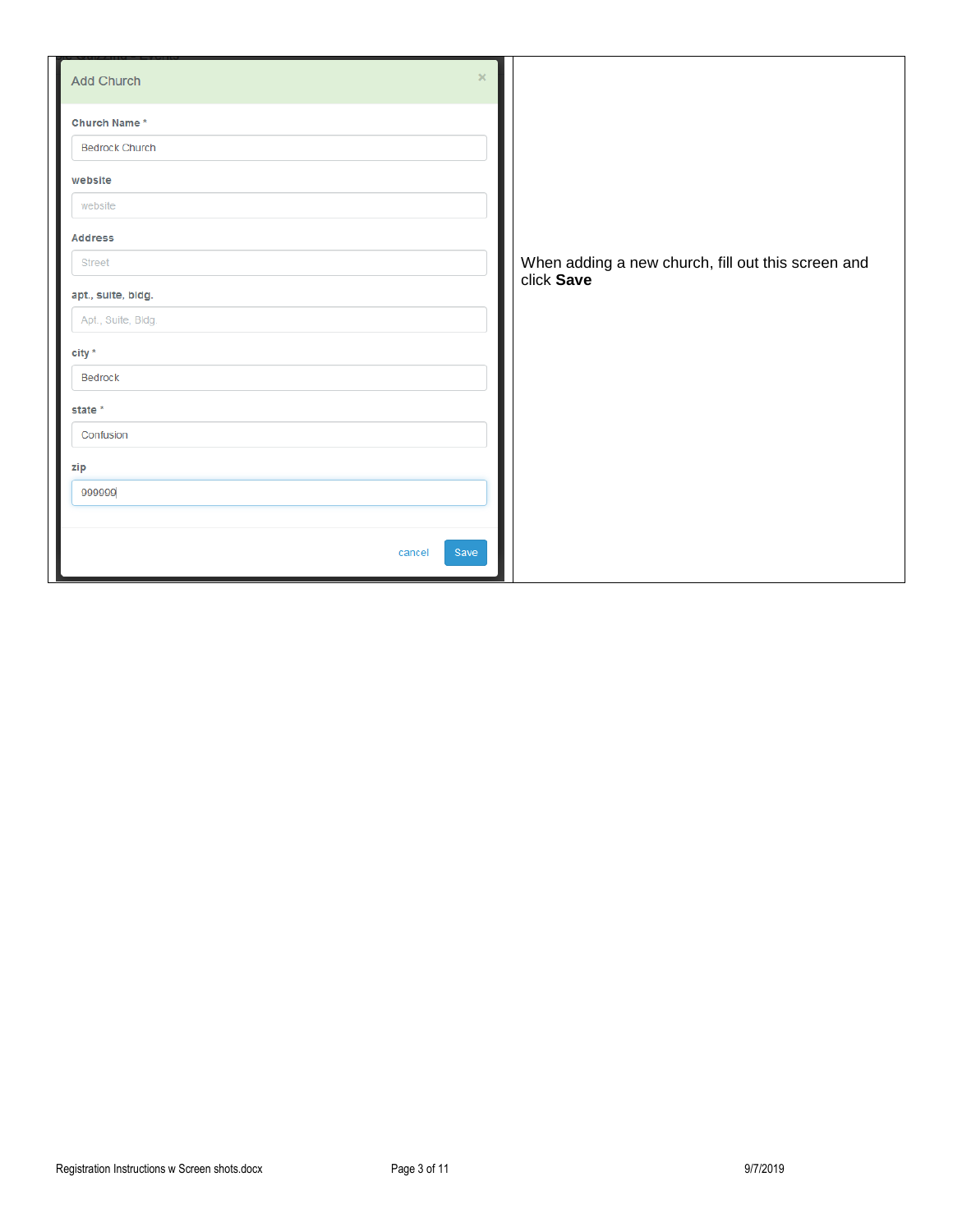| $\times$<br>Add Church |                                                    |
|------------------------|----------------------------------------------------|
| Church Name*           |                                                    |
| <b>Bedrock Church</b>  |                                                    |
| website                |                                                    |
| website                |                                                    |
| <b>Address</b>         |                                                    |
| <b>Street</b>          | When adding a new church, fill out this screen and |
| apt., suite, bldg.     | click Save                                         |
| Apt., Suite, Bldg.     |                                                    |
| $city *$               |                                                    |
| <b>Bedrock</b>         |                                                    |
| state *                |                                                    |
| Confusion              |                                                    |
| zip                    |                                                    |
| 999999                 |                                                    |
|                        |                                                    |
| Save<br>cancel         |                                                    |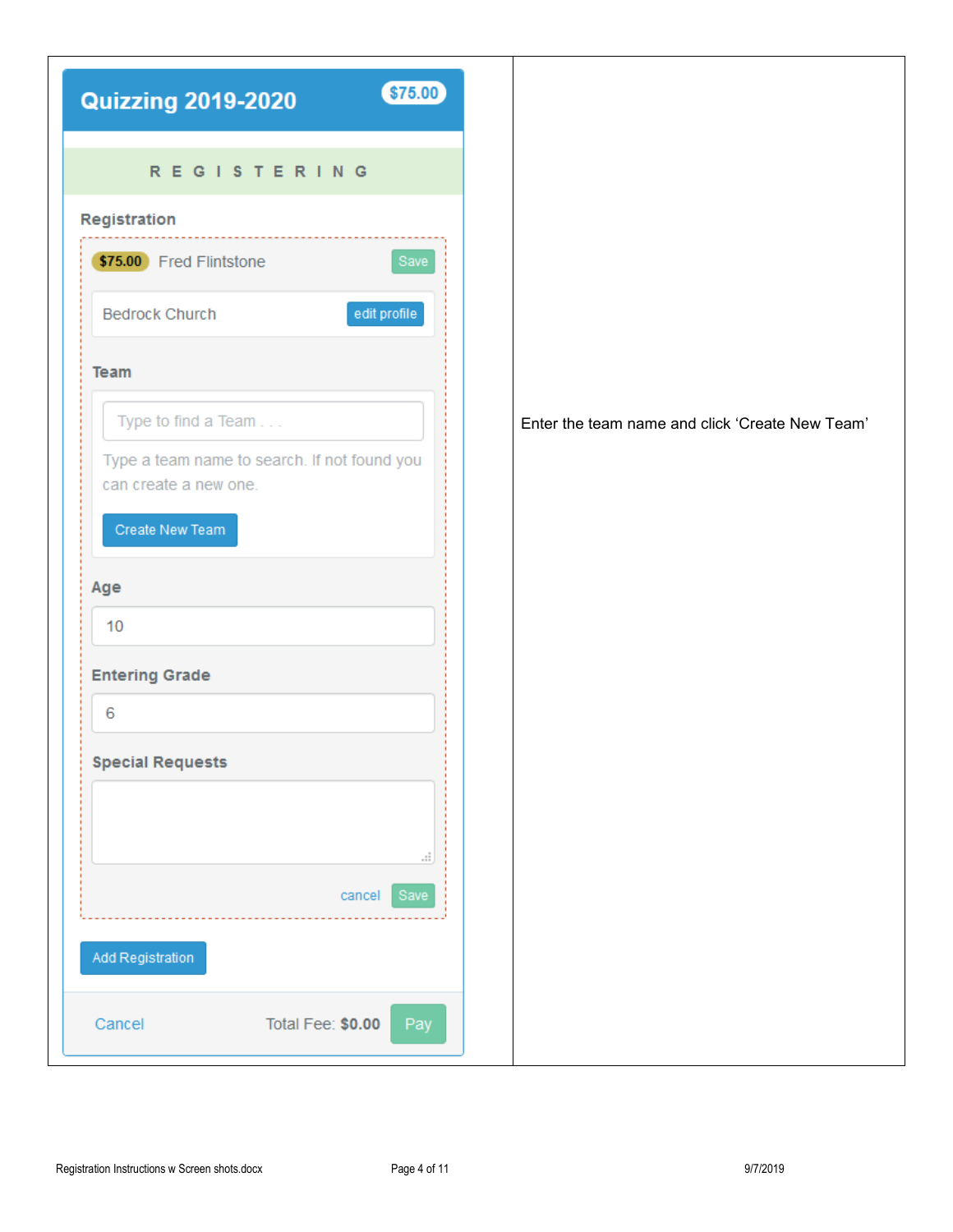| \$75.00<br><b>Quizzing 2019-2020</b>                                  |                                                 |
|-----------------------------------------------------------------------|-------------------------------------------------|
| <b>REGISTERING</b>                                                    |                                                 |
| Registration                                                          |                                                 |
| \$75.00 Fred Flintstone<br>Save                                       |                                                 |
| edit profile<br><b>Bedrock Church</b>                                 |                                                 |
| <b>Team</b>                                                           |                                                 |
| Type to find a Team                                                   | Enter the team name and click 'Create New Team' |
| Type a team name to search. If not found you<br>can create a new one. |                                                 |
| Create New Team                                                       |                                                 |
| Age                                                                   |                                                 |
| 10                                                                    |                                                 |
| <b>Entering Grade</b>                                                 |                                                 |
| 6                                                                     |                                                 |
| <b>Special Requests</b>                                               |                                                 |
|                                                                       |                                                 |
| al,                                                                   |                                                 |
| cancel  <br>Save                                                      |                                                 |
| Add Registration                                                      |                                                 |
| Total Fee: \$0.00<br>Cancel<br>Pay                                    |                                                 |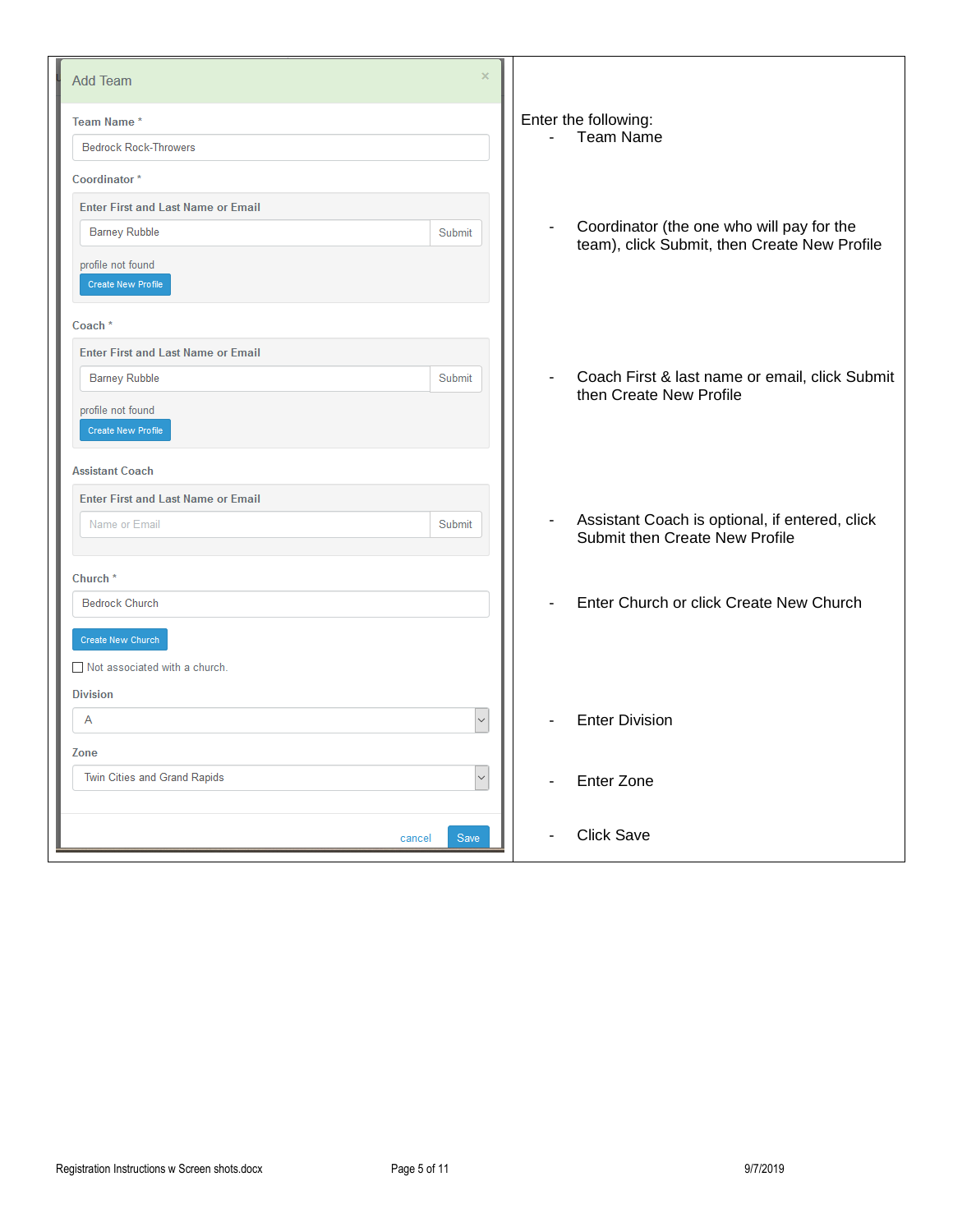| <b>Add Team</b>                           | ×                                                                                                                     |
|-------------------------------------------|-----------------------------------------------------------------------------------------------------------------------|
| Team Name*                                | Enter the following:                                                                                                  |
| <b>Bedrock Rock-Throwers</b>              | <b>Team Name</b>                                                                                                      |
| Coordinator*                              |                                                                                                                       |
| <b>Enter First and Last Name or Email</b> |                                                                                                                       |
| <b>Barney Rubble</b><br>Submit            | Coordinator (the one who will pay for the<br>$\overline{\phantom{a}}$<br>team), click Submit, then Create New Profile |
| profile not found<br>Create New Profile   |                                                                                                                       |
| Coach <sup>*</sup>                        |                                                                                                                       |
| <b>Enter First and Last Name or Email</b> |                                                                                                                       |
| <b>Barney Rubble</b><br>Submit            | Coach First & last name or email, click Submit<br>$\overline{\phantom{a}}$                                            |
| profile not found<br>Create New Profile   | then Create New Profile                                                                                               |
| <b>Assistant Coach</b>                    |                                                                                                                       |
| <b>Enter First and Last Name or Email</b> |                                                                                                                       |
| Name or Email<br>Submit                   | Assistant Coach is optional, if entered, click<br>$\overline{\phantom{a}}$<br>Submit then Create New Profile          |
| Church <sup>*</sup>                       |                                                                                                                       |
| <b>Bedrock Church</b>                     | Enter Church or click Create New Church<br>$\overline{\phantom{a}}$                                                   |
| Create New Church                         |                                                                                                                       |
| Not associated with a church.             |                                                                                                                       |
| <b>Division</b>                           |                                                                                                                       |
| A                                         | $\checkmark$<br><b>Enter Division</b>                                                                                 |
| Zone                                      |                                                                                                                       |
| Twin Cities and Grand Rapids              | $\checkmark$<br><b>Enter Zone</b>                                                                                     |
| Save<br>cancel                            | <b>Click Save</b>                                                                                                     |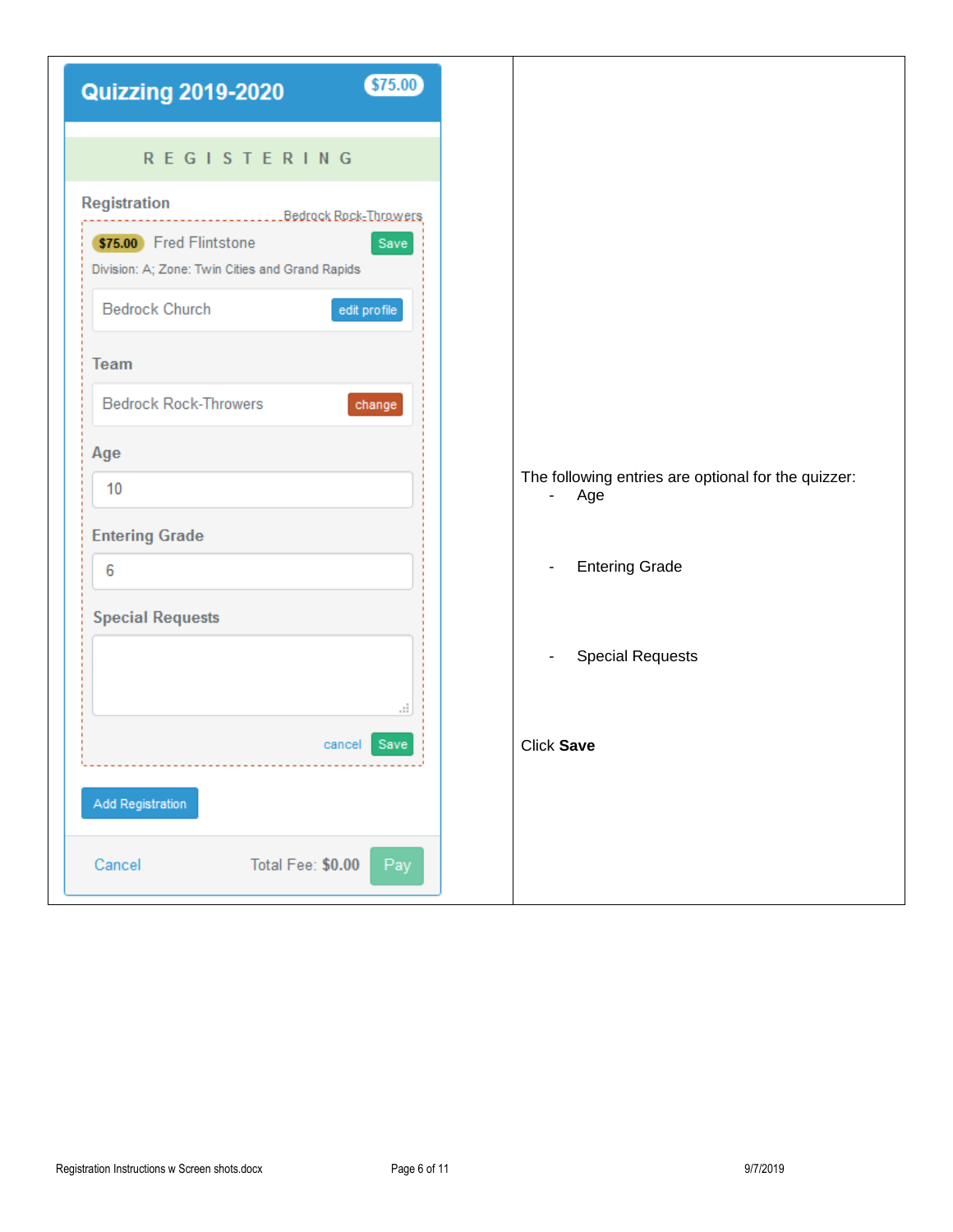| \$75.00<br><b>Quizzing 2019-2020</b>                                               |
|------------------------------------------------------------------------------------|
| <b>REGISTERING</b>                                                                 |
| Registration<br>Bedrock Rock-Throwers                                              |
| \$75.00 Fred Flintstone<br>Save<br>Division: A; Zone: Twin Cities and Grand Rapids |
| <b>Bedrock Church</b><br>edit profile                                              |
| Team                                                                               |
| <b>Bedrock Rock-Throwers</b><br>change                                             |
| Age                                                                                |
| 10                                                                                 |
| <b>Entering Grade</b>                                                              |
| 6                                                                                  |
| <b>Special Requests</b>                                                            |
|                                                                                    |
| a.                                                                                 |
| Save<br>cancel                                                                     |
| Add Registration                                                                   |
| Total Fee: \$0.00<br>Cancel<br>Pay                                                 |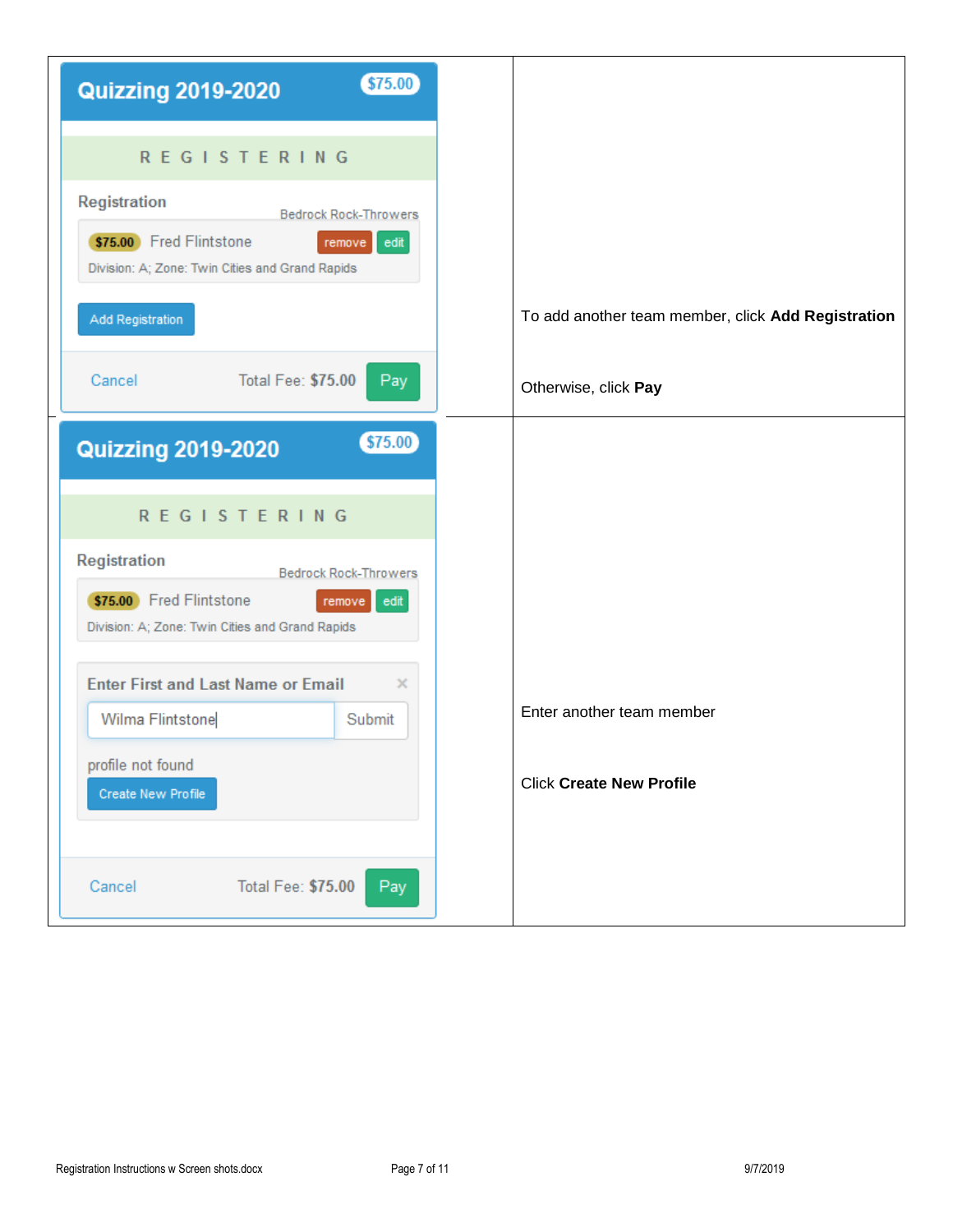| \$75.00<br><b>Quizzing 2019-2020</b>                                                                                                                |
|-----------------------------------------------------------------------------------------------------------------------------------------------------|
| <b>REGISTERING</b>                                                                                                                                  |
| <b>Registration</b><br><b>Bedrock Rock-Throwers</b><br>\$75.00 Fred Flintstone<br>edit<br>remove<br>Division: A; Zone: Twin Cities and Grand Rapids |
| Add Registration                                                                                                                                    |
| Total Fee: \$75.00<br>Cancel<br>Pay                                                                                                                 |
| \$75.00<br><b>Quizzing 2019-2020</b>                                                                                                                |
| <b>REGISTERING</b>                                                                                                                                  |
| <b>Registration</b><br><b>Bedrock Rock-Throwers</b>                                                                                                 |
| \$75.00 Fred Flintstone<br>edit<br>remove<br>Division: A; Zone: Twin Cities and Grand Rapids                                                        |
| <b>Enter First and Last Name or Email</b><br>x                                                                                                      |
| Wilma Flintstone<br>Submit                                                                                                                          |
| profile not found<br>Create New Profile                                                                                                             |
|                                                                                                                                                     |
| Total Fee: \$75.00<br>Pay<br>Cancel                                                                                                                 |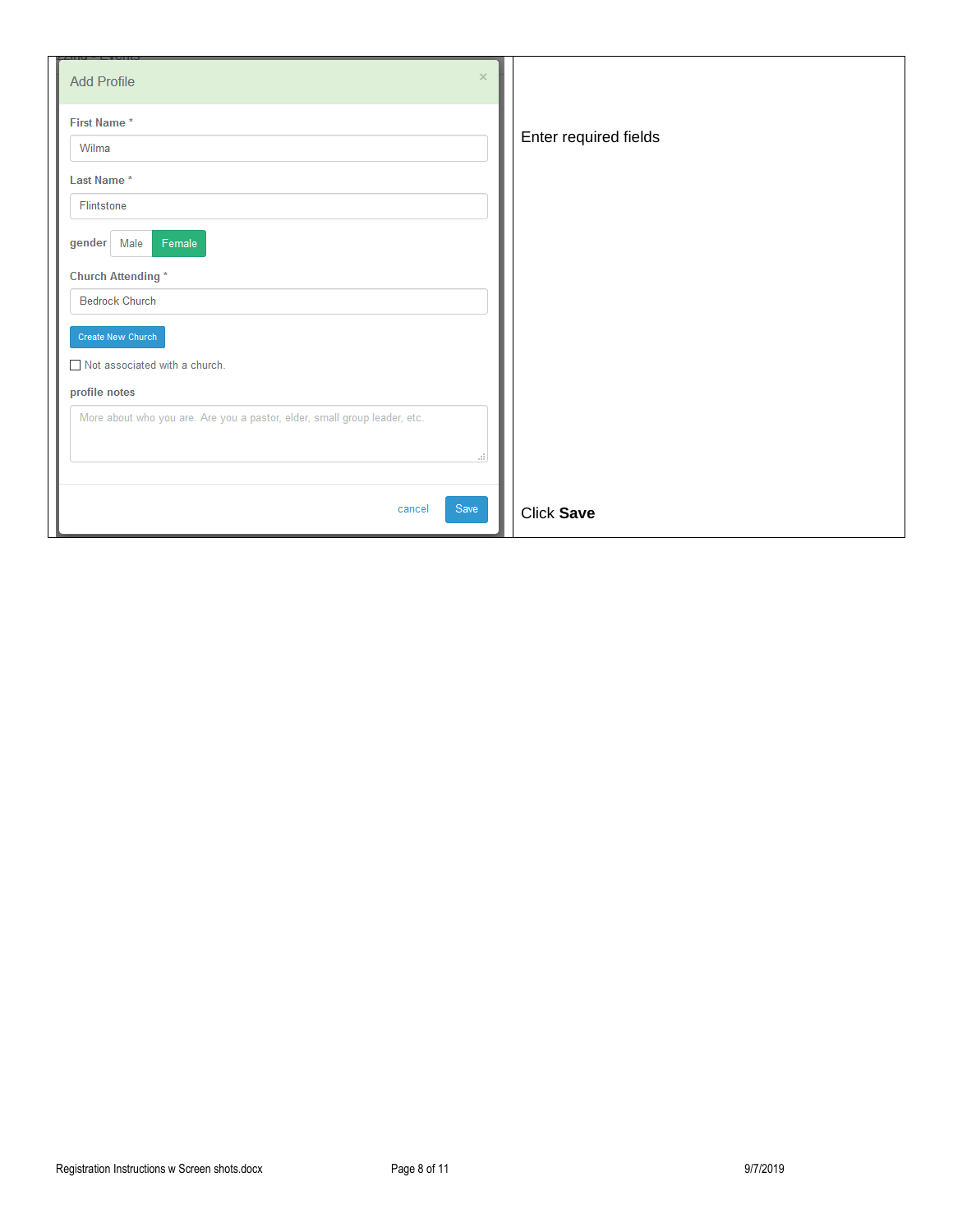| $\times$<br><b>Add Profile</b>                                            |                       |
|---------------------------------------------------------------------------|-----------------------|
| First Name*                                                               |                       |
| Wilma                                                                     | Enter required fields |
| Last Name*                                                                |                       |
| Flintstone                                                                |                       |
| Female<br>gender<br>Male                                                  |                       |
| <b>Church Attending*</b>                                                  |                       |
| <b>Bedrock Church</b>                                                     |                       |
| Create New Church                                                         |                       |
| Not associated with a church.                                             |                       |
| profile notes                                                             |                       |
| More about who you are. Are you a pastor, elder, small group leader, etc. |                       |
| ui.                                                                       |                       |
|                                                                           |                       |
| Save<br>cancel                                                            | Click Save            |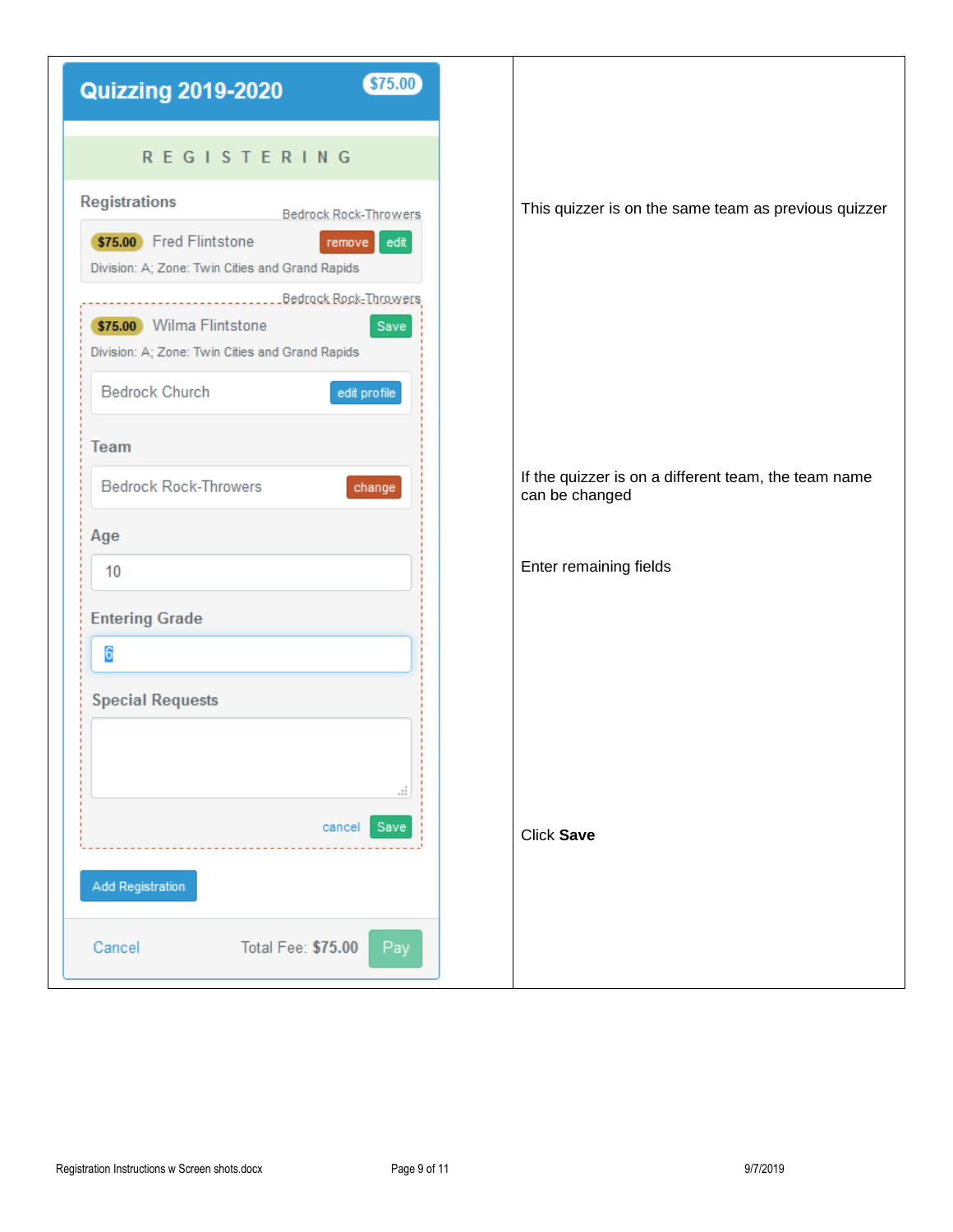| \$75.00<br><b>Quizzing 2019-2020</b>                                                                                                                                                                              |
|-------------------------------------------------------------------------------------------------------------------------------------------------------------------------------------------------------------------|
| <b>REGISTERING</b>                                                                                                                                                                                                |
| <b>Registrations</b><br><b>Bedrock Rock-Throwers</b><br>\$75.00 Fred Flintstone<br>edit<br>remove<br>Division: A; Zone: Twin Cities and Grand Rapids<br>Bedrock Rock-Throwers<br>\$75.00 Wilma Flintstone<br>Save |
| Division: A; Zone: Twin Cities and Grand Rapids<br><b>Bedrock Church</b><br>edit profile<br>Team                                                                                                                  |
| <b>Bedrock Rock-Throwers</b><br>change                                                                                                                                                                            |
| Age<br>10                                                                                                                                                                                                         |
| <b>Entering Grade</b><br>6                                                                                                                                                                                        |
| <b>Special Requests</b><br>ai.                                                                                                                                                                                    |
| Save<br>cancel<br><b>Add Registration</b>                                                                                                                                                                         |
| <b>Total Fee: \$75.00</b><br>Cancel<br>Pay                                                                                                                                                                        |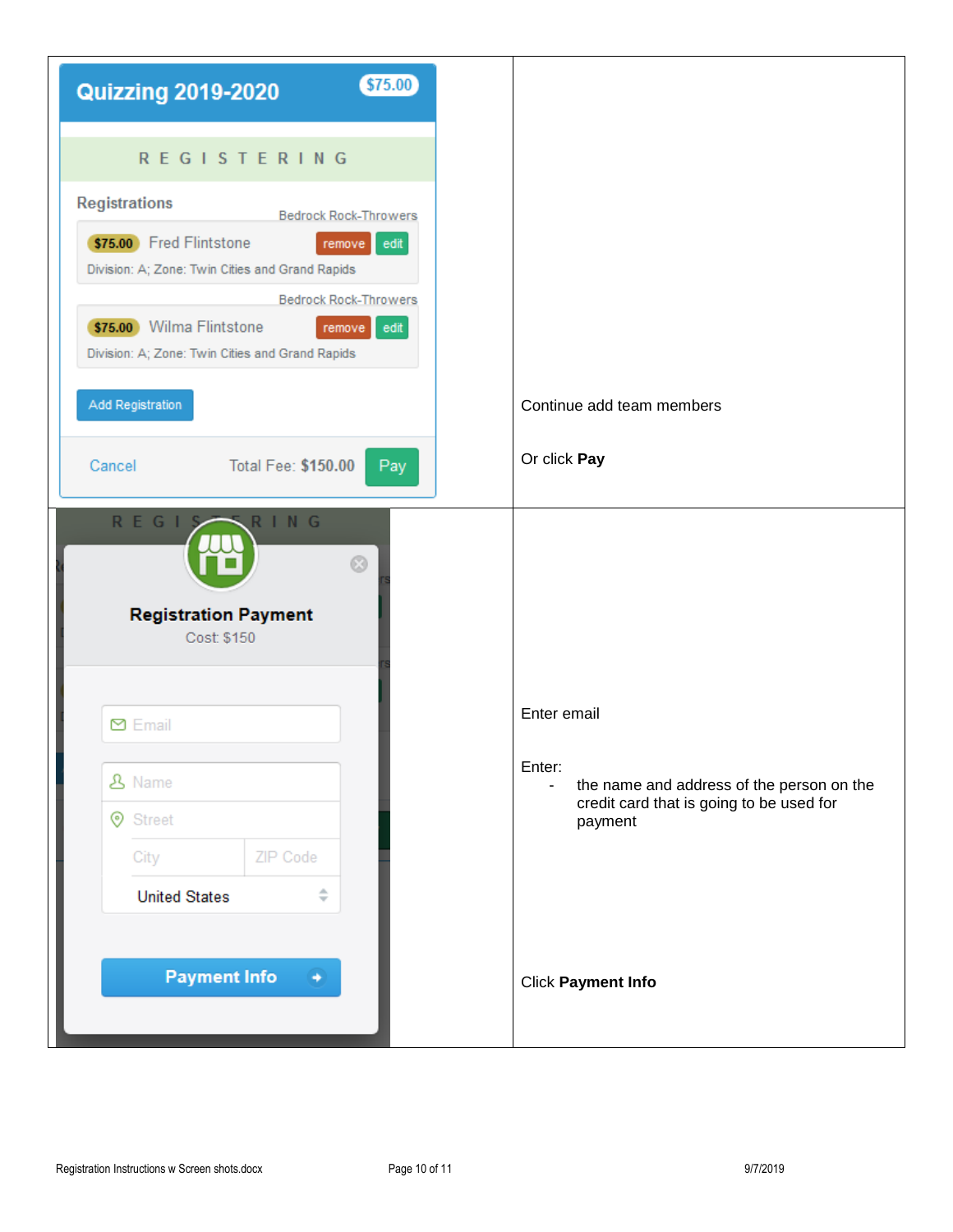| <b>REGISTERING</b><br><b>Registrations</b><br><b>Bedrock Rock-Throwers</b><br>\$75.00 Fred Flintstone<br>remove edit<br>Division: A; Zone: Twin Cities and Grand Rapids<br><b>Bedrock Rock-Throwers</b><br>\$75.00 Wilma Flintstone<br>remove edit<br>Division: A; Zone: Twin Cities and Grand Rapids<br>Add Registration<br>Or click Pay<br>Total Fee: \$150.00<br>Cancel<br>Pay<br>REGIS<br>RING<br>$\odot$<br><b>Registration Payment</b><br>Cost: \$150<br>Enter email<br><b>⊠</b> Email<br>Enter:<br><b>&amp; Name</b><br><b>⊙</b> Street<br>ZIP Code<br>City<br>÷<br><b>United States</b><br><b>Payment Info</b> | <b>Quizzing 2019-2020</b> | \$75.00 |
|------------------------------------------------------------------------------------------------------------------------------------------------------------------------------------------------------------------------------------------------------------------------------------------------------------------------------------------------------------------------------------------------------------------------------------------------------------------------------------------------------------------------------------------------------------------------------------------------------------------------|---------------------------|---------|
|                                                                                                                                                                                                                                                                                                                                                                                                                                                                                                                                                                                                                        |                           |         |
|                                                                                                                                                                                                                                                                                                                                                                                                                                                                                                                                                                                                                        |                           |         |
|                                                                                                                                                                                                                                                                                                                                                                                                                                                                                                                                                                                                                        |                           |         |
| Continue add team members                                                                                                                                                                                                                                                                                                                                                                                                                                                                                                                                                                                              |                           |         |
| payment                                                                                                                                                                                                                                                                                                                                                                                                                                                                                                                                                                                                                |                           |         |
| the name and address of the person on the<br>credit card that is going to be used for                                                                                                                                                                                                                                                                                                                                                                                                                                                                                                                                  |                           |         |
| <b>Click Payment Info</b>                                                                                                                                                                                                                                                                                                                                                                                                                                                                                                                                                                                              |                           |         |
|                                                                                                                                                                                                                                                                                                                                                                                                                                                                                                                                                                                                                        |                           |         |
|                                                                                                                                                                                                                                                                                                                                                                                                                                                                                                                                                                                                                        |                           |         |